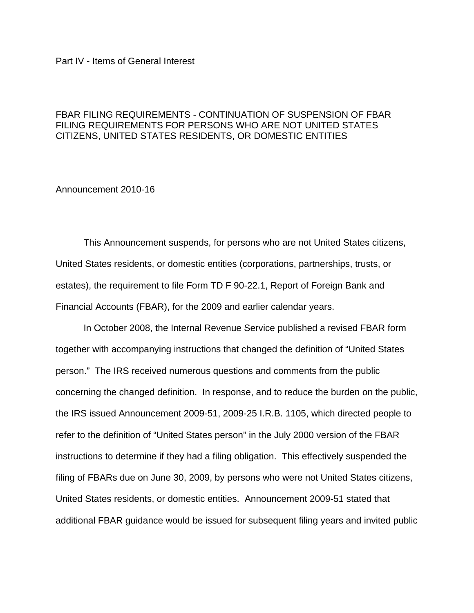## Part IV - Items of General Interest

## FBAR FILING REQUIREMENTS - CONTINUATION OF SUSPENSION OF FBAR FILING REQUIREMENTS FOR PERSONS WHO ARE NOT UNITED STATES CITIZENS, UNITED STATES RESIDENTS, OR DOMESTIC ENTITIES

## Announcement 2010-16

This Announcement suspends, for persons who are not United States citizens, United States residents, or domestic entities (corporations, partnerships, trusts, or estates), the requirement to file Form TD F 90-22.1, Report of Foreign Bank and Financial Accounts (FBAR), for the 2009 and earlier calendar years.

In October 2008, the Internal Revenue Service published a revised FBAR form together with accompanying instructions that changed the definition of "United States person." The IRS received numerous questions and comments from the public concerning the changed definition. In response, and to reduce the burden on the public, the IRS issued Announcement 2009-51, 2009-25 I.R.B. 1105, which directed people to refer to the definition of "United States person" in the July 2000 version of the FBAR instructions to determine if they had a filing obligation. This effectively suspended the filing of FBARs due on June 30, 2009, by persons who were not United States citizens, United States residents, or domestic entities. Announcement 2009-51 stated that additional FBAR guidance would be issued for subsequent filing years and invited public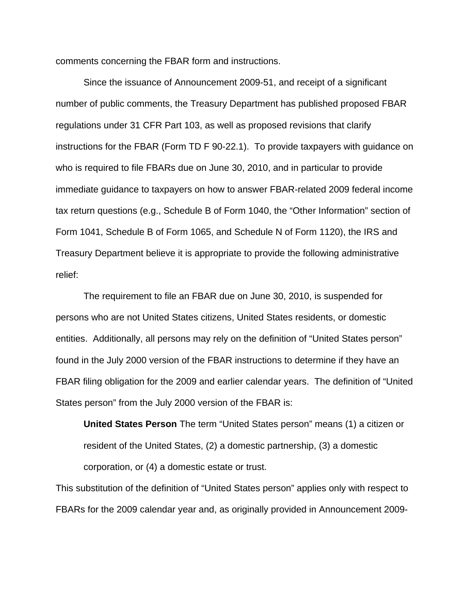comments concerning the FBAR form and instructions.

Since the issuance of Announcement 2009-51, and receipt of a significant number of public comments, the Treasury Department has published proposed FBAR regulations under 31 CFR Part 103, as well as proposed revisions that clarify instructions for the FBAR (Form TD F 90-22.1). To provide taxpayers with guidance on who is required to file FBARs due on June 30, 2010, and in particular to provide immediate guidance to taxpayers on how to answer FBAR-related 2009 federal income tax return questions (e.g., Schedule B of Form 1040, the "Other Information" section of Form 1041, Schedule B of Form 1065, and Schedule N of Form 1120), the IRS and Treasury Department believe it is appropriate to provide the following administrative relief:

The requirement to file an FBAR due on June 30, 2010, is suspended for persons who are not United States citizens, United States residents, or domestic entities. Additionally, all persons may rely on the definition of "United States person" found in the July 2000 version of the FBAR instructions to determine if they have an FBAR filing obligation for the 2009 and earlier calendar years. The definition of "United States person" from the July 2000 version of the FBAR is:

**United States Person** The term "United States person" means (1) a citizen or resident of the United States, (2) a domestic partnership, (3) a domestic corporation, or (4) a domestic estate or trust.

This substitution of the definition of "United States person" applies only with respect to FBARs for the 2009 calendar year and, as originally provided in Announcement 2009